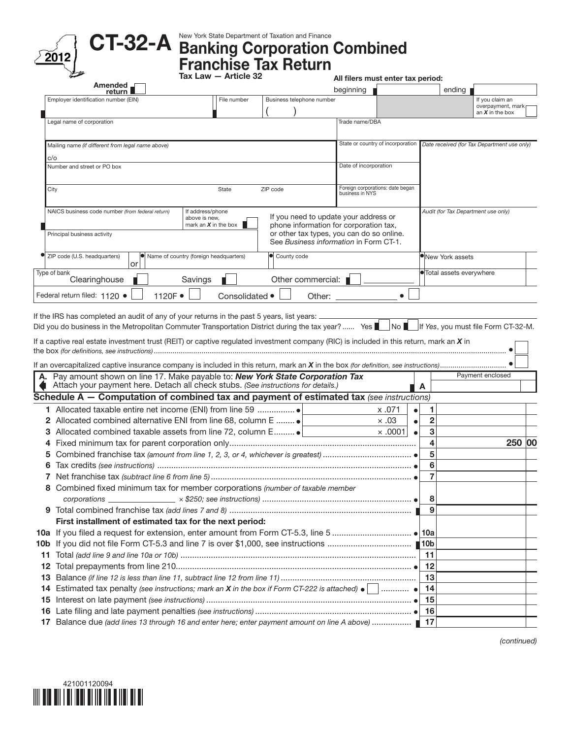



## New York State Department of Taxation and Finance

 $\sqrt{\frac{2012}{n}}$  U I-OZ-A Banking Corporation Combined<br>Franchise Tax Return

|    |                                                                                                                                                                   |                                        | Tax Law - Article 32                |                                  | All filers must enter tax period:         |                                   |                         |                          |                                             |  |
|----|-------------------------------------------------------------------------------------------------------------------------------------------------------------------|----------------------------------------|-------------------------------------|----------------------------------|-------------------------------------------|-----------------------------------|-------------------------|--------------------------|---------------------------------------------|--|
|    | Amended<br>return                                                                                                                                                 |                                        |                                     |                                  | beginning                                 |                                   |                         | ending                   |                                             |  |
|    | Employer identification number (EIN)                                                                                                                              |                                        | File number                         | Business telephone number        |                                           |                                   |                         |                          | If you claim an                             |  |
|    |                                                                                                                                                                   |                                        |                                     |                                  |                                           |                                   |                         |                          | overpayment, mark<br>an $X$ in the box      |  |
|    | Legal name of corporation                                                                                                                                         |                                        |                                     |                                  | Trade name/DBA                            |                                   |                         |                          |                                             |  |
|    | Mailing name (if different from legal name above)                                                                                                                 |                                        |                                     |                                  |                                           | State or country of incorporation |                         |                          | Date received (for Tax Department use only) |  |
|    | c/o                                                                                                                                                               |                                        |                                     |                                  |                                           |                                   |                         |                          |                                             |  |
|    | Number and street or PO box                                                                                                                                       |                                        |                                     |                                  | Date of incorporation                     |                                   |                         |                          |                                             |  |
|    | City                                                                                                                                                              |                                        | State                               | ZIP code                         | business in NYS                           | Foreign corporations: date began  |                         |                          |                                             |  |
|    |                                                                                                                                                                   |                                        |                                     |                                  |                                           |                                   |                         |                          |                                             |  |
|    | NAICS business code number (from federal return)                                                                                                                  | If address/phone                       |                                     |                                  | If you need to update your address or     |                                   |                         |                          | Audit (for Tax Department use only)         |  |
|    |                                                                                                                                                                   | above is new,                          | mark an $\boldsymbol{X}$ in the box |                                  | phone information for corporation tax,    |                                   |                         |                          |                                             |  |
|    | Principal business activity                                                                                                                                       |                                        |                                     |                                  | or other tax types, you can do so online. |                                   |                         |                          |                                             |  |
|    |                                                                                                                                                                   |                                        |                                     |                                  | See Business information in Form CT-1.    |                                   |                         |                          |                                             |  |
|    | H<br>ZIP code (U.S. headquarters)<br>or                                                                                                                           | Name of country (foreign headquarters) |                                     | County code                      |                                           |                                   |                         | <b>O</b> New York assets |                                             |  |
|    | Type of bank<br>Clearinghouse                                                                                                                                     | Savings                                |                                     | Other commercial: $\blacksquare$ |                                           |                                   |                         | •Total assets everywhere |                                             |  |
|    | Federal return filed: 1120 ·                                                                                                                                      | 1120F ·                                | Consolidated ·                      |                                  |                                           |                                   |                         |                          |                                             |  |
|    | If a captive real estate investment trust (REIT) or captive regulated investment company (RIC) is included in this return, mark an X in                           |                                        |                                     |                                  |                                           |                                   |                         |                          |                                             |  |
| А. | Pay amount shown on line 17. Make payable to: New York State Corporation Tax<br>Attach your payment here. Detach all check stubs. (See instructions for details.) |                                        |                                     |                                  |                                           |                                   | A                       |                          | Payment enclosed                            |  |
|    | Schedule $A -$ Computation of combined tax and payment of estimated tax (see instructions)                                                                        |                                        |                                     |                                  |                                           |                                   |                         |                          |                                             |  |
|    |                                                                                                                                                                   |                                        |                                     |                                  |                                           | x .071                            | 1                       |                          |                                             |  |
|    | 2 Allocated combined alternative ENI from line 68, column E                                                                                                       |                                        |                                     |                                  |                                           | $\times .03$                      | $\overline{2}$          |                          |                                             |  |
|    | 3 Allocated combined taxable assets from line 72, column E                                                                                                        |                                        |                                     |                                  |                                           | $\times$ .0001                    | 3                       |                          |                                             |  |
| 4  |                                                                                                                                                                   |                                        |                                     |                                  |                                           |                                   | $\overline{\mathbf{4}}$ |                          | 250 00                                      |  |
| 5  |                                                                                                                                                                   |                                        |                                     |                                  |                                           |                                   | 5                       |                          |                                             |  |
|    |                                                                                                                                                                   |                                        |                                     |                                  |                                           |                                   | 6                       |                          |                                             |  |
|    |                                                                                                                                                                   |                                        |                                     |                                  |                                           |                                   | $\overline{7}$          |                          |                                             |  |
|    | 8 Combined fixed minimum tax for member corporations (number of taxable member                                                                                    |                                        |                                     |                                  |                                           |                                   |                         |                          |                                             |  |
|    |                                                                                                                                                                   |                                        |                                     |                                  |                                           |                                   | 8                       |                          |                                             |  |
|    |                                                                                                                                                                   |                                        |                                     |                                  |                                           |                                   | 9                       |                          |                                             |  |
|    | First installment of estimated tax for the next period:                                                                                                           |                                        |                                     |                                  |                                           |                                   |                         |                          |                                             |  |
|    |                                                                                                                                                                   |                                        |                                     |                                  |                                           |                                   |                         |                          |                                             |  |
|    |                                                                                                                                                                   |                                        |                                     |                                  |                                           |                                   |                         |                          |                                             |  |
| 11 |                                                                                                                                                                   |                                        |                                     |                                  |                                           |                                   | 11                      |                          |                                             |  |
| 12 |                                                                                                                                                                   |                                        |                                     |                                  |                                           |                                   | 12                      |                          |                                             |  |
| 13 |                                                                                                                                                                   |                                        |                                     |                                  |                                           |                                   | 13                      |                          |                                             |  |
|    | 14 Estimated tax penalty (see instructions; mark an X in the box if Form CT-222 is attached) $\bullet$                                                            |                                        |                                     |                                  |                                           |                                   | -14                     |                          |                                             |  |
|    |                                                                                                                                                                   |                                        |                                     |                                  |                                           |                                   | 15                      |                          |                                             |  |
|    |                                                                                                                                                                   |                                        |                                     |                                  |                                           |                                   | 16                      |                          |                                             |  |
|    | 17 Balance due (add lines 13 through 16 and enter here; enter payment amount on line A above)                                                                     |                                        |                                     |                                  |                                           |                                   | -17                     |                          |                                             |  |

*(continued)*

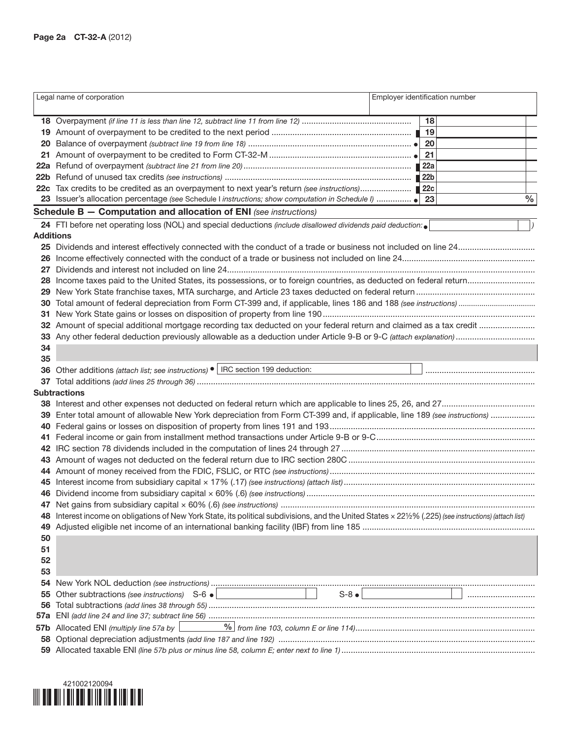|                  | Legal name of corporation                                                                                                                            | Employer identification number |    |           |
|------------------|------------------------------------------------------------------------------------------------------------------------------------------------------|--------------------------------|----|-----------|
|                  |                                                                                                                                                      |                                | 18 |           |
|                  |                                                                                                                                                      |                                |    |           |
|                  |                                                                                                                                                      |                                |    |           |
| 20               |                                                                                                                                                      |                                | 21 |           |
|                  |                                                                                                                                                      |                                |    |           |
|                  |                                                                                                                                                      |                                |    |           |
|                  |                                                                                                                                                      |                                |    |           |
|                  |                                                                                                                                                      |                                |    | $\%$      |
|                  | <b>Schedule B - Computation and allocation of ENI</b> (see instructions)                                                                             |                                |    |           |
|                  | 24 FTI before net operating loss (NOL) and special deductions (include disallowed dividends paid deduction: $\bullet$                                |                                |    | $\vert$ ) |
| <b>Additions</b> |                                                                                                                                                      |                                |    |           |
|                  |                                                                                                                                                      |                                |    |           |
|                  |                                                                                                                                                      |                                |    |           |
| 27               |                                                                                                                                                      |                                |    |           |
| 28               |                                                                                                                                                      |                                |    |           |
|                  |                                                                                                                                                      |                                |    |           |
| 30               |                                                                                                                                                      |                                |    |           |
| 31               |                                                                                                                                                      |                                |    |           |
|                  |                                                                                                                                                      |                                |    |           |
|                  |                                                                                                                                                      |                                |    |           |
| 34               |                                                                                                                                                      |                                |    |           |
| 35               |                                                                                                                                                      |                                |    |           |
| 36               | Other additions (attach list; see instructions) • IRC section 199 deduction:                                                                         |                                |    |           |
|                  |                                                                                                                                                      |                                |    |           |
|                  | <b>Subtractions</b>                                                                                                                                  |                                |    |           |
|                  |                                                                                                                                                      |                                |    |           |
|                  | 39 Enter total amount of allowable New York depreciation from Form CT-399 and, if applicable, line 189 (see instructions)                            |                                |    |           |
| 40               |                                                                                                                                                      |                                |    |           |
|                  |                                                                                                                                                      |                                |    |           |
| 42               |                                                                                                                                                      |                                |    |           |
|                  |                                                                                                                                                      |                                |    |           |
|                  |                                                                                                                                                      |                                |    |           |
|                  |                                                                                                                                                      |                                |    |           |
|                  |                                                                                                                                                      |                                |    |           |
|                  |                                                                                                                                                      |                                |    |           |
|                  | Interest income on obligations of New York State, its political subdivisions, and the United States × 221/2% (.225) (see instructions) (attach list) |                                |    |           |
| 49               |                                                                                                                                                      |                                |    |           |
| 50               |                                                                                                                                                      |                                |    |           |
| 51               |                                                                                                                                                      |                                |    |           |
| 52               |                                                                                                                                                      |                                |    |           |
| 53               |                                                                                                                                                      |                                |    |           |
| 54               |                                                                                                                                                      |                                |    |           |
| 55               |                                                                                                                                                      |                                |    |           |
| 56               |                                                                                                                                                      |                                |    |           |
| 57а              |                                                                                                                                                      |                                |    |           |
|                  | 57b Allocated ENI (multiply line 57a by                                                                                                              |                                |    |           |
| 58               |                                                                                                                                                      |                                |    |           |
|                  |                                                                                                                                                      |                                |    |           |

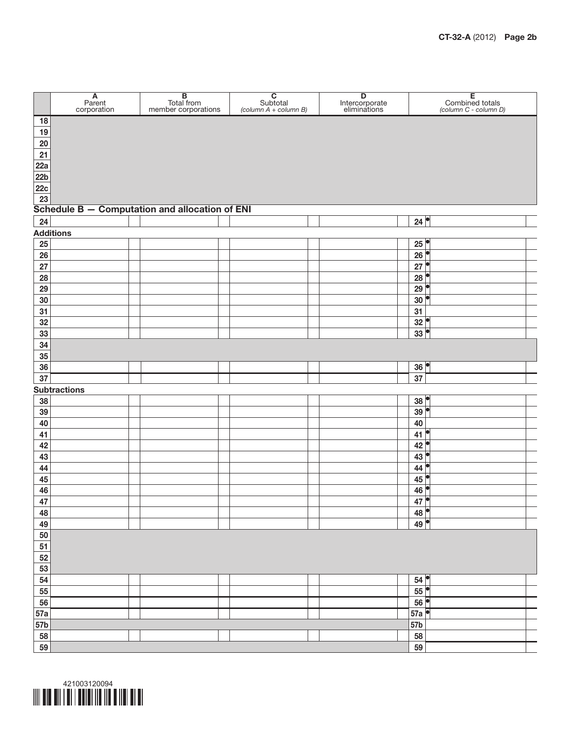

|          | $A$<br>Parent<br>corporation | <b>B</b><br>Total from<br>member corporations  | $\begin{array}{c} \textbf{C} \\ \text{Subtotal} \\ \text{(column A + column B)} \end{array}$ | <b>D</b><br>Intercorporate<br>eliminations | E<br>Combined totals<br>(column C - column D) |
|----------|------------------------------|------------------------------------------------|----------------------------------------------------------------------------------------------|--------------------------------------------|-----------------------------------------------|
| $18$     |                              |                                                |                                                                                              |                                            |                                               |
| 19       |                              |                                                |                                                                                              |                                            |                                               |
| $20\,$   |                              |                                                |                                                                                              |                                            |                                               |
| 21       |                              |                                                |                                                                                              |                                            |                                               |
| 22a      |                              |                                                |                                                                                              |                                            |                                               |
| 22b      |                              |                                                |                                                                                              |                                            |                                               |
| 22c      |                              |                                                |                                                                                              |                                            |                                               |
| 23       |                              | Schedule B - Computation and allocation of ENI |                                                                                              |                                            |                                               |
| 24       |                              |                                                |                                                                                              |                                            | 24                                            |
|          | <b>Additions</b>             |                                                |                                                                                              |                                            |                                               |
| 25       |                              |                                                |                                                                                              |                                            | 25                                            |
| 26       |                              |                                                |                                                                                              |                                            | 26                                            |
| 27       |                              |                                                |                                                                                              |                                            | $27^{\circ}$                                  |
| 28       |                              |                                                |                                                                                              |                                            | 28                                            |
| 29       |                              |                                                |                                                                                              |                                            | 29                                            |
| 30       |                              |                                                |                                                                                              |                                            | 30                                            |
| 31       |                              |                                                |                                                                                              |                                            | 31                                            |
| 32       |                              |                                                |                                                                                              |                                            | 32                                            |
| 33       |                              |                                                |                                                                                              |                                            | $33$ <sup><math>\degree</math></sup>          |
| 34       |                              |                                                |                                                                                              |                                            |                                               |
| 35       |                              |                                                |                                                                                              |                                            |                                               |
| 36       |                              |                                                |                                                                                              |                                            | $36$ <sup><math>\bullet</math></sup>          |
| 37       |                              |                                                |                                                                                              |                                            | 37                                            |
|          | <b>Subtractions</b>          |                                                |                                                                                              |                                            |                                               |
| 38       |                              |                                                |                                                                                              |                                            | 38                                            |
| 39       |                              |                                                |                                                                                              |                                            | $39$ <sup><math>\degree</math></sup>          |
| 40       |                              |                                                |                                                                                              |                                            | 40                                            |
| 41       |                              |                                                |                                                                                              |                                            | 41                                            |
| 42       |                              |                                                |                                                                                              |                                            | 42                                            |
| 43       |                              |                                                |                                                                                              |                                            | 43                                            |
| 44       |                              |                                                |                                                                                              |                                            | 44                                            |
| 45       |                              |                                                |                                                                                              |                                            | $45$ <sup><math>\bullet</math></sup>          |
| 46       |                              |                                                |                                                                                              |                                            | 46                                            |
| 47       |                              |                                                |                                                                                              |                                            | $47^{\circ}$                                  |
| 48<br>49 |                              |                                                |                                                                                              |                                            | 48<br>49                                      |
| 50       |                              |                                                |                                                                                              |                                            |                                               |
| 51       |                              |                                                |                                                                                              |                                            |                                               |
| 52       |                              |                                                |                                                                                              |                                            |                                               |
| 53       |                              |                                                |                                                                                              |                                            |                                               |
| 54       |                              |                                                |                                                                                              |                                            | 54                                            |
| 55       |                              |                                                |                                                                                              |                                            | $55^{\circ}$                                  |
| 56       |                              |                                                |                                                                                              |                                            | 56                                            |
| 57a      |                              |                                                |                                                                                              |                                            | 57a                                           |
| 57b      |                              |                                                |                                                                                              |                                            | 57b                                           |
| 58       |                              |                                                |                                                                                              |                                            | 58                                            |
| 59       |                              |                                                |                                                                                              |                                            | 59                                            |

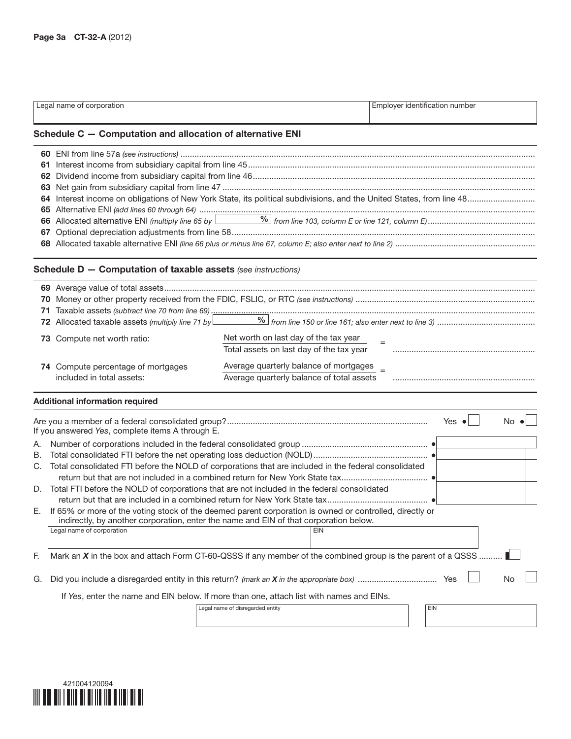|                            | Legal name of corporation                                                                                                                                                                                                                                                                                                                                                                                                                                                                                                                                                                                                                                                                                 |                                                                                                                                                                          |            | Employer identification number |                      |
|----------------------------|-----------------------------------------------------------------------------------------------------------------------------------------------------------------------------------------------------------------------------------------------------------------------------------------------------------------------------------------------------------------------------------------------------------------------------------------------------------------------------------------------------------------------------------------------------------------------------------------------------------------------------------------------------------------------------------------------------------|--------------------------------------------------------------------------------------------------------------------------------------------------------------------------|------------|--------------------------------|----------------------|
|                            | Schedule C - Computation and allocation of alternative ENI                                                                                                                                                                                                                                                                                                                                                                                                                                                                                                                                                                                                                                                |                                                                                                                                                                          |            |                                |                      |
| 67                         |                                                                                                                                                                                                                                                                                                                                                                                                                                                                                                                                                                                                                                                                                                           |                                                                                                                                                                          |            |                                |                      |
|                            | <b>Schedule D - Computation of taxable assets (see instructions)</b>                                                                                                                                                                                                                                                                                                                                                                                                                                                                                                                                                                                                                                      |                                                                                                                                                                          |            |                                |                      |
|                            | 73 Compute net worth ratio:<br>74 Compute percentage of mortgages<br>included in total assets:                                                                                                                                                                                                                                                                                                                                                                                                                                                                                                                                                                                                            | Net worth on last day of the tax year<br>Total assets on last day of the tax year<br>Average quarterly balance of mortgages<br>Average quarterly balance of total assets |            |                                |                      |
|                            | <b>Additional information required</b>                                                                                                                                                                                                                                                                                                                                                                                                                                                                                                                                                                                                                                                                    |                                                                                                                                                                          |            |                                |                      |
| Α.<br>В.<br>C.<br>F.<br>G. | If you answered Yes, complete items A through E.<br>Total consolidated FTI before the NOLD of corporations that are included in the federal consolidated<br>D. Total FTI before the NOLD of corporations that are not included in the federal consolidated<br>E. If 65% or more of the voting stock of the deemed parent corporation is owned or controlled, directly or<br>indirectly, by another corporation, enter the name and EIN of that corporation below.<br>Legal name of corporation<br>Mark an X in the box and attach Form CT-60-QSSS if any member of the combined group is the parent of a QSSS<br>If Yes, enter the name and EIN below. If more than one, attach list with names and EINs. |                                                                                                                                                                          | <b>EIN</b> | Yes $\bullet$                  | $No$ $\bullet$<br>No |
|                            |                                                                                                                                                                                                                                                                                                                                                                                                                                                                                                                                                                                                                                                                                                           | Legal name of disregarded entity                                                                                                                                         |            | EIN                            |                      |

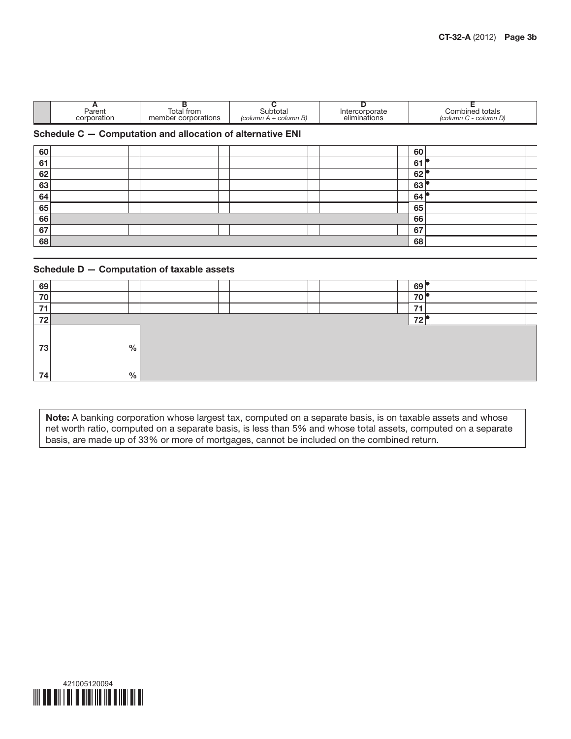| Parent<br>corporation | trom<br>OIć<br>corporations | ULO.<br>$\overline{B}$<br>$\sqrt{2}$<br>umr.<br>column | ιαιτ<br>inations<br>alır | totals<br>.ibinec'<br>JUL.<br>column D)<br>column |
|-----------------------|-----------------------------|--------------------------------------------------------|--------------------------|---------------------------------------------------|
|                       |                             |                                                        |                          |                                                   |

## Schedule C — Computation and allocation of alternative ENI

| 60 |  |  |  | 60 |  |
|----|--|--|--|----|--|
| 61 |  |  |  | 61 |  |
| 62 |  |  |  | 62 |  |
| 63 |  |  |  | 63 |  |
| 64 |  |  |  | 64 |  |
| 65 |  |  |  | 65 |  |
| 66 |  |  |  | 66 |  |
| 67 |  |  |  | 67 |  |
| 68 |  |  |  | 68 |  |

### Schedule D — Computation of taxable assets

| 69 |      |  | 69 <sub>1</sub> |
|----|------|--|-----------------|
| 70 |      |  | 70              |
| 74 |      |  | 74              |
| 72 |      |  | 70              |
| 73 | $\%$ |  |                 |
|    |      |  |                 |
| 74 | $\%$ |  |                 |

Note: A banking corporation whose largest tax, computed on a separate basis, is on taxable assets and whose net worth ratio, computed on a separate basis, is less than 5% and whose total assets, computed on a separate basis, are made up of 33% or more of mortgages, cannot be included on the combined return.

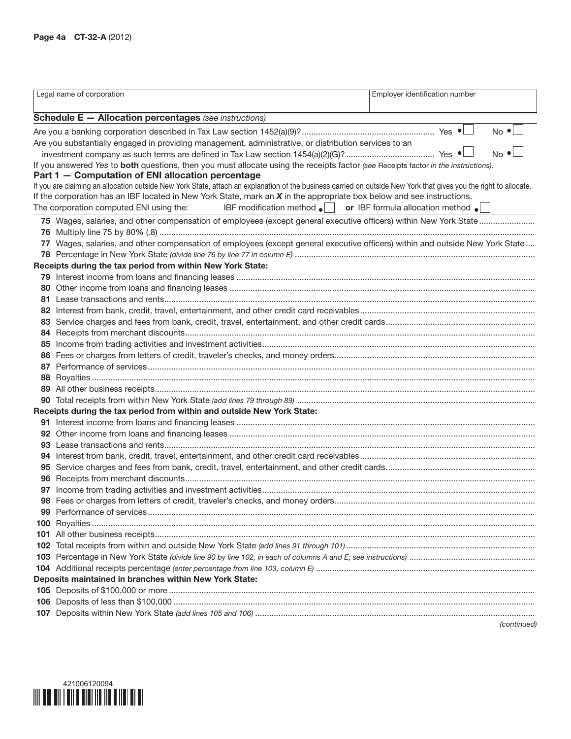|    | Legal name of corporation                                                                                                                                         | Employer identification number |
|----|-------------------------------------------------------------------------------------------------------------------------------------------------------------------|--------------------------------|
|    | <b>Schedule E - Allocation percentages</b> (see instructions)                                                                                                     |                                |
|    |                                                                                                                                                                   | $No \cdot$                     |
|    | Are you substantially engaged in providing management, administrative, or distribution services to an                                                             |                                |
|    |                                                                                                                                                                   | $No$ $\bullet$                 |
|    | If you answered Yes to both questions, then you must allocate using the receipts factor (see Receipts factor in the instructions).                                |                                |
|    | Part 1 - Computation of ENI allocation percentage                                                                                                                 |                                |
|    | If you are claiming an allocation outside New York State, attach an explanation of the business carried on outside New York that gives you the right to allocate. |                                |
|    | If the corporation has an IBF located in New York State, mark an $X$ in the appropriate box below and see instructions.                                           |                                |
|    | The corporation computed ENI using the:<br><b>IBF</b> modification method $\bullet$ <b>or IBF</b> formula allocation method $\bullet$                             |                                |
|    |                                                                                                                                                                   |                                |
|    |                                                                                                                                                                   |                                |
|    | 77 Wages, salaries, and other compensation of employees (except general executive officers) within and outside New York State                                     |                                |
|    |                                                                                                                                                                   |                                |
|    | Receipts during the tax period from within New York State:                                                                                                        |                                |
|    |                                                                                                                                                                   |                                |
|    |                                                                                                                                                                   |                                |
|    |                                                                                                                                                                   |                                |
|    |                                                                                                                                                                   |                                |
|    |                                                                                                                                                                   |                                |
|    |                                                                                                                                                                   |                                |
|    |                                                                                                                                                                   |                                |
|    |                                                                                                                                                                   |                                |
|    |                                                                                                                                                                   |                                |
|    |                                                                                                                                                                   |                                |
|    |                                                                                                                                                                   |                                |
|    |                                                                                                                                                                   |                                |
|    | Receipts during the tax period from within and outside New York State:                                                                                            |                                |
|    |                                                                                                                                                                   |                                |
|    |                                                                                                                                                                   |                                |
|    |                                                                                                                                                                   |                                |
|    |                                                                                                                                                                   |                                |
|    |                                                                                                                                                                   |                                |
|    |                                                                                                                                                                   |                                |
| 97 |                                                                                                                                                                   |                                |
|    |                                                                                                                                                                   |                                |
|    |                                                                                                                                                                   |                                |
|    |                                                                                                                                                                   |                                |
|    |                                                                                                                                                                   |                                |
|    |                                                                                                                                                                   |                                |
|    |                                                                                                                                                                   |                                |
|    |                                                                                                                                                                   |                                |
|    | Deposits maintained in branches within New York State:                                                                                                            |                                |
|    |                                                                                                                                                                   |                                |
|    |                                                                                                                                                                   |                                |
|    |                                                                                                                                                                   |                                |
|    |                                                                                                                                                                   | (continued)                    |

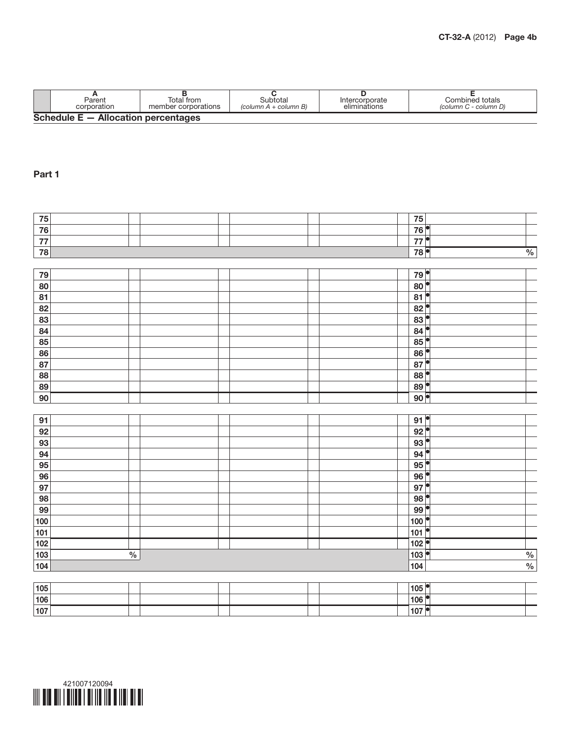

| 78              |               |  |  | 78                                    | $\frac{0}{0}$   |
|-----------------|---------------|--|--|---------------------------------------|-----------------|
|                 |               |  |  |                                       |                 |
| 79              |               |  |  | 79                                    |                 |
| 80              |               |  |  | $\overline{\bullet}$<br>80            |                 |
| 81              |               |  |  | $\bullet$<br>$\overline{81}$          |                 |
| 82              |               |  |  | $82$ <sup><math>\bullet</math></sup>  |                 |
| 83              |               |  |  | $83$ <sup><math>\bullet</math></sup>  |                 |
| $\overline{84}$ |               |  |  | 84                                    |                 |
| $\overline{85}$ |               |  |  | $85$ <sup><math>\bullet</math></sup>  |                 |
| 86              |               |  |  | $86$ <sup><math>\bullet</math></sup>  |                 |
| 87              |               |  |  | $87^{\circ}$                          |                 |
| 88              |               |  |  | 88                                    |                 |
| $\overline{89}$ |               |  |  | $89$ <sup><math>\bullet</math></sup>  |                 |
| 90              |               |  |  | 90                                    |                 |
|                 |               |  |  |                                       |                 |
| 91              |               |  |  | $91$ <sup><math>\degree</math></sup>  |                 |
| 92              |               |  |  | $92^{\circ}$                          |                 |
| 93              |               |  |  | $93$ <sup><math>\degree</math></sup>  |                 |
| 94              |               |  |  | $94^\circ$                            |                 |
| 95              |               |  |  | $95$ <sup><math>\bullet</math></sup>  |                 |
| 96              |               |  |  | $96^{\circ}$                          |                 |
| 97              |               |  |  | F<br>97                               |                 |
| 98              |               |  |  | þ<br>98                               |                 |
| 99              |               |  |  | 99                                    |                 |
| 100             |               |  |  | 100                                   |                 |
| 101             |               |  |  | $\overline{\bullet}$<br>101           |                 |
| 102             |               |  |  | 102                                   |                 |
| 103             | $\frac{0}{6}$ |  |  | 103                                   |                 |
| 104             |               |  |  | 104                                   | $\frac{\%}{\%}$ |
|                 |               |  |  |                                       |                 |
| 105             |               |  |  | $105$ <sup><math>\degree</math></sup> |                 |
| 106             |               |  |  | 106                                   |                 |

Part 1

| Parent                                | Гоtаl from          | 3ubtotal              | Intercorporate | Combined totals       |
|---------------------------------------|---------------------|-----------------------|----------------|-----------------------|
| corporation                           | member corporations | (column A + column B) | eliminations   | (column C - column D) |
| Schedule $E -$ Allocation percentages |                     |                       |                |                       |

 75 76 77

107

 $\overline{\phantom{0}}$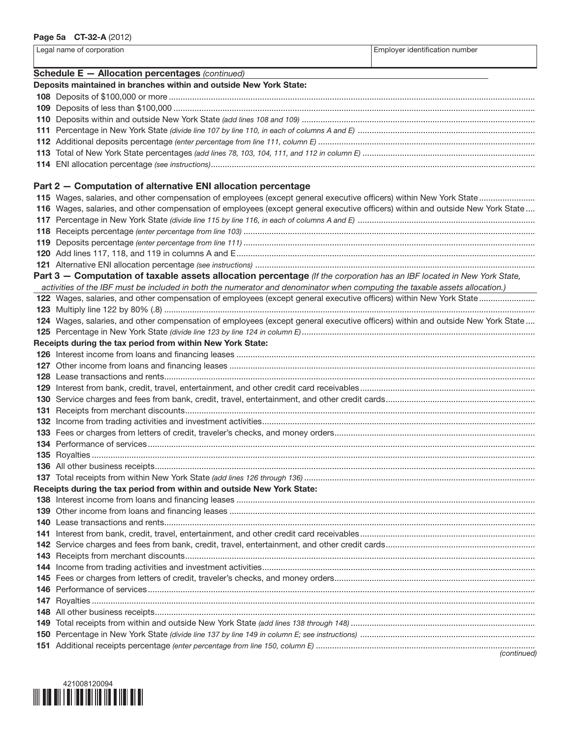Legal name of corporation extensive properties and the extensive properties of the Employer identification number Schedule E — Allocation percentages *(continued)* Deposits maintained in branches within and outside New York State: Deposits of \$100,000 or more ............................................................................................................................................................. Deposits of less than \$100,000 ........................................................................................................................................................... Deposits within and outside New York State *(add lines 108 and 109)* .................................................................................................... Percentage in New York State *(divide line 107 by line 110, in each of columns A and E)* ............................................................................ Additional deposits percentage *(enter percentage from line 111, column E)* ............................................................................................. Total of New York State percentages *(add lines 78, 103, 104, 111, and 112 in column E)* .......................................................................... ENI allocation percentage *(see instructions)*........................................................................................................................................... Part 2 — Computation of alternative ENI allocation percentage Wages, salaries, and other compensation of employees (except general executive officers) within New York State........................ Wages, salaries, and other compensation of employees (except general executive officers) within and outside New York State .... Percentage in New York State *(divide line 115 by line 116, in each of columns A and E)* ............................................................................ Receipts percentage *(enter percentage from line 103)* ............................................................................................................................. Deposits percentage *(enter percentage from line 111)* .............................................................................................................................

 Add lines 117, 118, and 119 in columns A and E................................................................................................................................ Alternative ENI allocation percentage *(see instructions)* ........................................................................................................................ Part 3 — Computation of taxable assets allocation percentage *(If the corporation has an IBF located in New York State, activities of the IBF must be included in both the numerator and denominator when computing the taxable assets allocation.)* 122 Wages, salaries, and other compensation of employees (except general executive officers) within New York State.......................... Multiply line 122 by 80% (.8) ............................................................................................................................................................... Wages, salaries, and other compensation of employees (except general executive officers) within and outside New York State .... Percentage in New York State *(divide line 123 by line 124 in column E)*.................................................................................................... Receipts during the tax period from within New York State: Interest income from loans and financing leases ................................................................................................................................ Other income from loans and financing leases ................................................................................................................................... Lease transactions and rents............................................................................................................................................................... Interest from bank, credit, travel, entertainment, and other credit card receivables........................................................................... Service charges and fees from bank, credit, travel, entertainment, and other credit cards................................................................ Receipts from merchant discounts...................................................................................................................................................... Income from trading activities and investment activities..................................................................................................................... Fees or charges from letters of credit, traveler's checks, and money orders...................................................................................... Performance of services...................................................................................................................................................................... Royalties .............................................................................................................................................................................................. All other business receipts................................................................................................................................................................... Total receipts from within New York State *(add lines 126 through 136)* ................................................................................................... Receipts during the tax period from within and outside New York State: Interest income from loans and financing leases ................................................................................................................................ Other income from loans and financing leases ................................................................................................................................... Lease transactions and rents............................................................................................................................................................... Interest from bank, credit, travel, entertainment, and other credit card receivables...........................................................................

| (continued) |
|-------------|

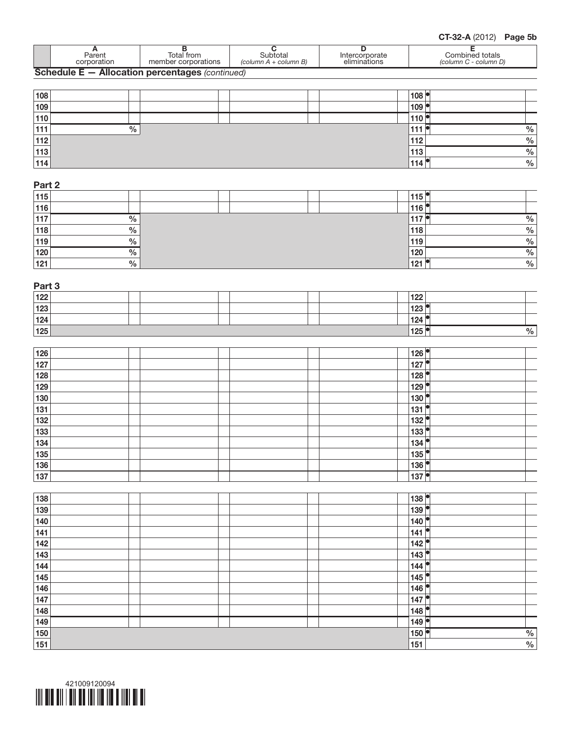

Part 2

| Part 3           |  |                                       |                 |
|------------------|--|---------------------------------------|-----------------|
| 122              |  | 122                                   |                 |
| $\frac{1}{23}$   |  | $123$ <sup><math>\degree</math></sup> |                 |
| $\overline{124}$ |  | 124                                   |                 |
| $\overline{125}$ |  | 125                                   | $\frac{0}{6}$   |
| 126              |  | 126                                   |                 |
| $\overline{127}$ |  | 127                                   |                 |
| 128              |  | 128                                   |                 |
| $\frac{1}{29}$   |  | 129                                   |                 |
| 130              |  | 130                                   |                 |
| 131              |  | 131                                   |                 |
| 132              |  | 132                                   |                 |
| 133              |  | $133$ <sup><math>\degree</math></sup> |                 |
| 134              |  | 134                                   |                 |
| 135              |  | $135$ <sup><math>\bullet</math></sup> |                 |
| $\frac{1}{136}$  |  | 136                                   |                 |
| 137              |  | 137                                   |                 |
| 138              |  | 138                                   |                 |
| 139              |  | H<br>139                              |                 |
| 140              |  | 140                                   |                 |
| 141              |  | o<br>$141$                            |                 |
| 142              |  | 142                                   |                 |
| $\frac{1}{143}$  |  | $\frac{1}{143}$<br>$\bullet$          |                 |
| <u>144</u>       |  | o<br>144                              |                 |
| $\frac{1}{145}$  |  | 145<br>O                              |                 |
| 146              |  | 146                                   |                 |
| $\frac{1}{147}$  |  | 147                                   |                 |
| 148              |  | 148                                   |                 |
| 149              |  | 149                                   |                 |
| <u>150</u>       |  | 150                                   | $\frac{\%}{\%}$ |
| 151              |  | $\frac{1}{151}$                       |                 |

| 115 |               |  | 115 <sup>7</sup> |      |
|-----|---------------|--|------------------|------|
| 116 |               |  |                  |      |
| 117 | $\%$          |  | .                | %    |
| 118 | $\frac{0}{0}$ |  | 118              | $\%$ |
| 119 | $\%$          |  | 119              | $\%$ |
| 120 | $\%$          |  | 120              | %    |
| 121 | $\frac{0}{0}$ |  | 12 <sup>1</sup>  | $\%$ |

| 108   |               |  | 108          |               |
|-------|---------------|--|--------------|---------------|
| 109   |               |  | 109          |               |
| 110   |               |  | 110          |               |
| 111   | $\frac{0}{0}$ |  | 111          | $\frac{0}{0}$ |
| 112   |               |  | 112          | $\frac{0}{0}$ |
| $113$ |               |  | 113          | $\frac{0}{0}$ |
| 114   |               |  | $'$ 114 $_1$ | $\frac{0}{0}$ |
|       |               |  |              |               |

**A**<br>
Parent Total from Total from Subtotal Column B<br>
Column A + column B) Contained totals<br>  $\begin{array}{|c|c|c|c|}\n\hline\n\end{array}$  Combined totals<br>
Combined totals<br>
Column C - column D) Parent Total from Subtotal Intercorporate Combined totals<br>Corporation member corporations *(column A + column B)* eliminations *(column C - column D)* Schedule E — Allocation percentages *(continued)*

CT-32-A (2012) Page 5b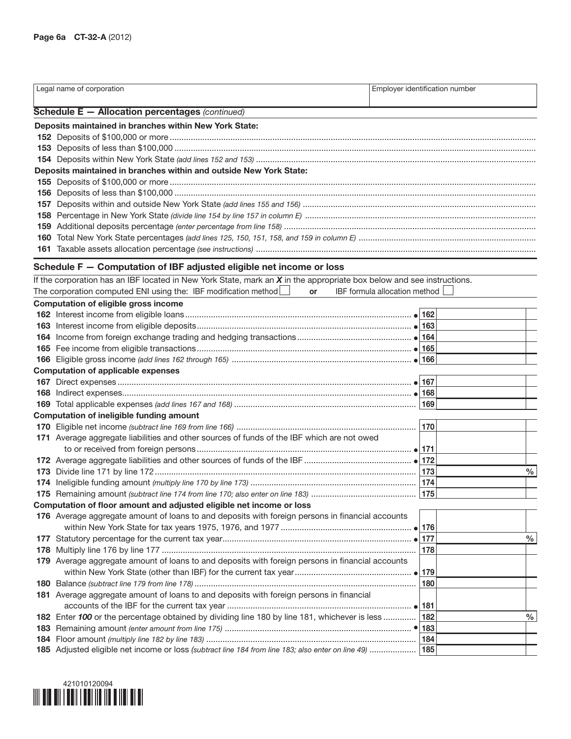|     | Legal name of corporation                                                                                               | Employer identification number |      |
|-----|-------------------------------------------------------------------------------------------------------------------------|--------------------------------|------|
|     |                                                                                                                         |                                |      |
|     | Schedule E - Allocation percentages (continued)                                                                         |                                |      |
|     | Deposits maintained in branches within New York State:                                                                  |                                |      |
|     |                                                                                                                         |                                |      |
|     |                                                                                                                         |                                |      |
|     | Deposits maintained in branches within and outside New York State:                                                      |                                |      |
|     |                                                                                                                         |                                |      |
|     |                                                                                                                         |                                |      |
| 157 |                                                                                                                         |                                |      |
|     |                                                                                                                         |                                |      |
|     |                                                                                                                         |                                |      |
| 160 |                                                                                                                         |                                |      |
|     |                                                                                                                         |                                |      |
|     | Schedule F - Computation of IBF adjusted eligible net income or loss                                                    |                                |      |
|     | If the corporation has an IBF located in New York State, mark an $X$ in the appropriate box below and see instructions. |                                |      |
|     | The corporation computed ENI using the: IBF modification method Lex<br>or                                               | IBF formula allocation method  |      |
|     | Computation of eligible gross income                                                                                    |                                |      |
|     |                                                                                                                         |                                |      |
|     |                                                                                                                         |                                |      |
|     |                                                                                                                         |                                |      |
|     |                                                                                                                         |                                |      |
|     |                                                                                                                         |                                |      |
|     | <b>Computation of applicable expenses</b>                                                                               |                                |      |
|     |                                                                                                                         |                                |      |
|     |                                                                                                                         |                                |      |
|     |                                                                                                                         |                                |      |
|     | Computation of ineligible funding amount                                                                                |                                |      |
|     |                                                                                                                         | 170                            |      |
|     | 171 Average aggregate liabilities and other sources of funds of the IBF which are not owed                              |                                |      |
|     |                                                                                                                         |                                |      |
|     |                                                                                                                         |                                |      |
|     |                                                                                                                         |                                | $\%$ |
|     |                                                                                                                         | 174                            |      |
|     |                                                                                                                         | 175                            |      |
|     | Computation of floor amount and adjusted eligible net income or loss                                                    |                                |      |
|     | 176 Average aggregate amount of loans to and deposits with foreign persons in financial accounts                        |                                |      |
|     |                                                                                                                         |                                | %    |
|     |                                                                                                                         | 178                            |      |
|     | 179 Average aggregate amount of loans to and deposits with foreign persons in financial accounts                        |                                |      |
|     |                                                                                                                         |                                |      |
|     |                                                                                                                         | 180                            |      |
|     | 181 Average aggregate amount of loans to and deposits with foreign persons in financial                                 |                                |      |
|     |                                                                                                                         |                                |      |
|     | 182 Enter 100 or the percentage obtained by dividing line 180 by line 181, whichever is less                            | 182                            | %    |
|     |                                                                                                                         |                                |      |
|     |                                                                                                                         | 184                            |      |
|     | 185 Adjusted eligible net income or loss (subtract line 184 from line 183; also enter on line 49)                       | 185                            |      |
|     |                                                                                                                         |                                |      |

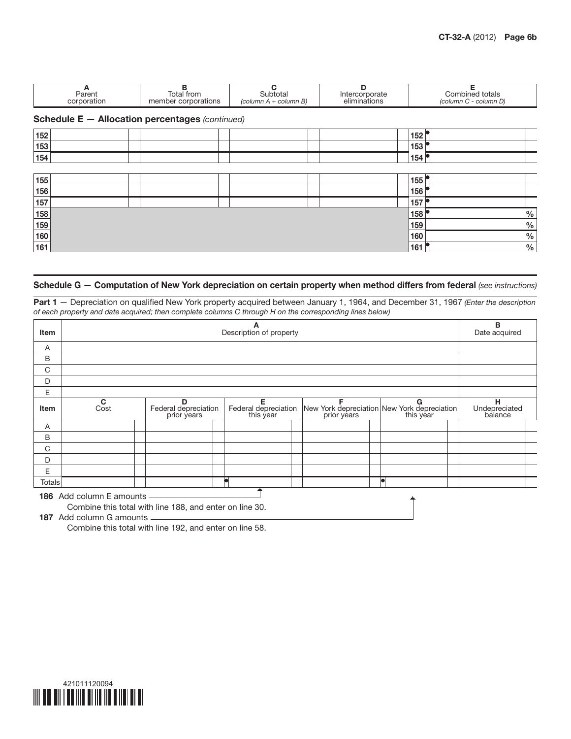| Parent<br>corporation                                  | Total from<br>member corporations | Subtotal<br>$\left(\text{column } A + \text{column } B\right)$ | Intercorporate<br>eliminations | Combined totals<br>(column C - column D) |  |  |  |  |
|--------------------------------------------------------|-----------------------------------|----------------------------------------------------------------|--------------------------------|------------------------------------------|--|--|--|--|
| <b>Schedule E - Allocation percentages (continued)</b> |                                   |                                                                |                                |                                          |  |  |  |  |
| 152                                                    |                                   |                                                                |                                | 152                                      |  |  |  |  |
| 152                                                    |                                   |                                                                |                                | 152                                      |  |  |  |  |

| 153 |  |  | 153 |      |
|-----|--|--|-----|------|
| 154 |  |  | 154 |      |
|     |  |  |     |      |
| 155 |  |  | 155 |      |
| 156 |  |  | 156 |      |
| 157 |  |  | 157 |      |
| 158 |  |  | 158 | $\%$ |
| 159 |  |  | 159 | $\%$ |
| 160 |  |  | 160 | %    |
| 161 |  |  | 161 | %    |

## Schedule G — Computation of New York depreciation on certain property when method differs from federal *(see instructions)*

Part 1 — Depreciation on qualified New York property acquired between January 1, 1964, and December 31, 1967 *(Enter the description of each property and date acquired; then complete columns C through H on the corresponding lines below)*

| <b>Item</b> |                                                                                     | А<br>Description of property             |                                        |                                                                           |   |                               |  |  |
|-------------|-------------------------------------------------------------------------------------|------------------------------------------|----------------------------------------|---------------------------------------------------------------------------|---|-------------------------------|--|--|
| A           |                                                                                     |                                          |                                        |                                                                           |   |                               |  |  |
| B           |                                                                                     |                                          |                                        |                                                                           |   |                               |  |  |
| C           |                                                                                     |                                          |                                        |                                                                           |   |                               |  |  |
| D           |                                                                                     |                                          |                                        |                                                                           |   |                               |  |  |
| E           |                                                                                     |                                          |                                        |                                                                           |   |                               |  |  |
| <b>Item</b> | $\overline{c}$                                                                      | D<br>Federal depreciation<br>prior years | Е<br>Federal depreciation<br>this year | F<br>New York depreciation New York depreciation<br>prior years this year | G | н<br>Undepreciated<br>balance |  |  |
| Α           |                                                                                     |                                          |                                        |                                                                           |   |                               |  |  |
| B           |                                                                                     |                                          |                                        |                                                                           |   |                               |  |  |
| C           |                                                                                     |                                          |                                        |                                                                           |   |                               |  |  |
| D           |                                                                                     |                                          |                                        |                                                                           |   |                               |  |  |
| E           |                                                                                     |                                          |                                        |                                                                           |   |                               |  |  |
| Totals      |                                                                                     |                                          |                                        |                                                                           |   |                               |  |  |
|             | 186 Add column E amounts<br>Combine this total with line 188, and enter on line 30. |                                          |                                        |                                                                           |   |                               |  |  |

187 Add column G amounts ....

Combine this total with line 192, and enter on line 58.

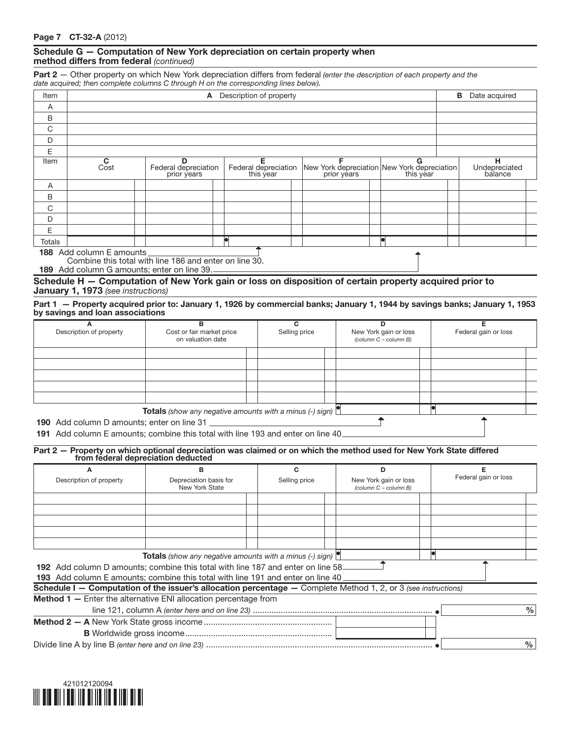### Schedule G — Computation of New York depreciation on certain property when method differs from federal *(continued)*

Part 2 — Other property on which New York depreciation differs from federal *(enter the description of each property and the date acquired; then complete columns C through H on the corresponding lines below).*

| Item   |                                           | Description of property<br>A             |                                        |                                                                   |   |  |                               |  |
|--------|-------------------------------------------|------------------------------------------|----------------------------------------|-------------------------------------------------------------------|---|--|-------------------------------|--|
| A      |                                           |                                          |                                        |                                                                   |   |  |                               |  |
| B      |                                           |                                          |                                        |                                                                   |   |  |                               |  |
| C      |                                           |                                          |                                        |                                                                   |   |  |                               |  |
| D      |                                           |                                          |                                        |                                                                   |   |  |                               |  |
| E      |                                           |                                          |                                        |                                                                   |   |  |                               |  |
| Item   | C<br>Cost                                 | D<br>Federal depreciation<br>prior years | Е<br>Federal depreciation<br>this year | New York depreciation New York depreciation prior years this year | G |  | н<br>Undepreciated<br>balance |  |
| A      |                                           |                                          |                                        |                                                                   |   |  |                               |  |
| B      |                                           |                                          |                                        |                                                                   |   |  |                               |  |
| C      |                                           |                                          |                                        |                                                                   |   |  |                               |  |
| D      |                                           |                                          |                                        |                                                                   |   |  |                               |  |
| Е      |                                           |                                          |                                        |                                                                   |   |  |                               |  |
| Totals |                                           |                                          | k                                      |                                                                   |   |  |                               |  |
|        | 188 Add column E amounts<br>$\sim$ $\sim$ |                                          |                                        |                                                                   |   |  |                               |  |

Combine this total with line 186 and enter on line 30.

189 Add column G amounts; enter on line 39.

#### Schedule H — Computation of New York gain or loss on disposition of certain property acquired prior to January 1, 1973 *(see instructions)*

Part 1 — Property acquired prior to: January 1, 1926 by commercial banks; January 1, 1944 by savings banks; January 1, 1953 by savings and loan associations

| Description of property | Cost or fair market price<br>on valuation date                         | Selling price | Federal gain or loss<br>New York gain or loss<br>(column C - column B) |  |
|-------------------------|------------------------------------------------------------------------|---------------|------------------------------------------------------------------------|--|
|                         |                                                                        |               |                                                                        |  |
|                         |                                                                        |               |                                                                        |  |
|                         |                                                                        |               |                                                                        |  |
|                         |                                                                        |               |                                                                        |  |
|                         |                                                                        |               |                                                                        |  |
|                         | <b>Totals</b> (show any negative amounts with a minus (-) sign) $\Box$ |               |                                                                        |  |

190 Add column D amounts; enter on line 31

191 Add column E amounts; combine this total with line 193 and enter on line 40

# Part 2 — Property on which optional depreciation was claimed or on which the method used for New York State differed from federal depreciation deducted

| А                                                                                                                     | в                                                                                                     |               | D                                              |                      |
|-----------------------------------------------------------------------------------------------------------------------|-------------------------------------------------------------------------------------------------------|---------------|------------------------------------------------|----------------------|
| Description of property                                                                                               | Depreciation basis for<br>New York State                                                              | Selling price | New York gain or loss<br>(column C - column B) | Federal gain or loss |
|                                                                                                                       |                                                                                                       |               |                                                |                      |
|                                                                                                                       |                                                                                                       |               |                                                |                      |
|                                                                                                                       |                                                                                                       |               |                                                |                      |
|                                                                                                                       |                                                                                                       |               |                                                |                      |
|                                                                                                                       |                                                                                                       |               |                                                |                      |
|                                                                                                                       | <b>Totals</b> (show any negative amounts with a minus $\left(\cdot\right)$ sign) $\left \cdot\right $ |               |                                                |                      |
|                                                                                                                       | <b>192</b> Add column D amounts; combine this total with line 187 and enter on line 58                |               |                                                |                      |
|                                                                                                                       | <b>193</b> Add column E amounts; combine this total with line 191 and enter on line 40                |               |                                                |                      |
| <b>Schedule I – Computation of the issuer's allocation percentage –</b> Complete Method 1, 2, or 3 (see instructions) |                                                                                                       |               |                                                |                      |
| <b>Method 1</b> - Enter the alternative ENI allocation percentage from                                                |                                                                                                       |               |                                                |                      |
|                                                                                                                       |                                                                                                       |               |                                                | $\%$                 |
|                                                                                                                       |                                                                                                       |               |                                                |                      |
|                                                                                                                       |                                                                                                       |               |                                                |                      |
|                                                                                                                       |                                                                                                       |               |                                                | $\%$                 |

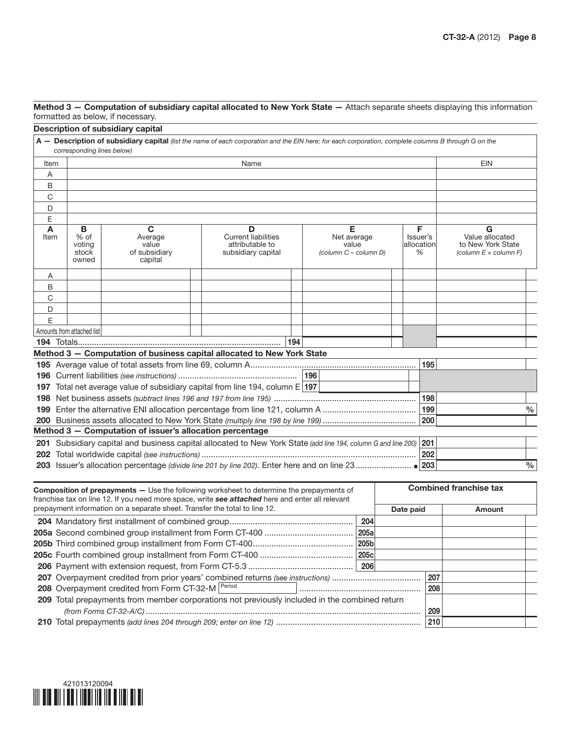| Method 3 - Computation of subsidiary capital allocated to New York State - Attach separate sheets displaying this information |  |
|-------------------------------------------------------------------------------------------------------------------------------|--|
| formatted as below, if necessary.                                                                                             |  |

|           |                                       | Description of subsidiary capital                                          |                                                                                                                                                                                                     |                                                    |  |  |      |           |                                   |                                                                              |      |
|-----------|---------------------------------------|----------------------------------------------------------------------------|-----------------------------------------------------------------------------------------------------------------------------------------------------------------------------------------------------|----------------------------------------------------|--|--|------|-----------|-----------------------------------|------------------------------------------------------------------------------|------|
|           |                                       |                                                                            | A - Description of subsidiary capital (list the name of each corporation and the EIN here; for each corporation, complete columns B through G on the                                                |                                                    |  |  |      |           |                                   |                                                                              |      |
|           | corresponding lines below)            |                                                                            |                                                                                                                                                                                                     |                                                    |  |  |      |           |                                   |                                                                              |      |
| Item      |                                       |                                                                            | Name                                                                                                                                                                                                |                                                    |  |  |      |           |                                   | EIN                                                                          |      |
| Α         |                                       |                                                                            |                                                                                                                                                                                                     |                                                    |  |  |      |           |                                   |                                                                              |      |
| В         |                                       |                                                                            |                                                                                                                                                                                                     |                                                    |  |  |      |           |                                   |                                                                              |      |
| С         |                                       |                                                                            |                                                                                                                                                                                                     |                                                    |  |  |      |           |                                   |                                                                              |      |
| D         |                                       |                                                                            |                                                                                                                                                                                                     |                                                    |  |  |      |           |                                   |                                                                              |      |
| Е         |                                       |                                                                            |                                                                                                                                                                                                     |                                                    |  |  |      |           |                                   |                                                                              |      |
| A<br>Item | в<br>% of<br>voting<br>stock<br>owned | C<br>Average<br>value<br>of subsidiary<br>capital                          | D<br><b>Current liabilities</b><br>attributable to<br>subsidiary capital                                                                                                                            | Е<br>Net average<br>value<br>(column C - column D) |  |  |      |           | F.<br>Issuer's<br>allocation<br>% | G<br>Value allocated<br>to New York State<br>(column $E \times$ column $F$ ) |      |
| Α         |                                       |                                                                            |                                                                                                                                                                                                     |                                                    |  |  |      |           |                                   |                                                                              |      |
| В         |                                       |                                                                            |                                                                                                                                                                                                     |                                                    |  |  |      |           |                                   |                                                                              |      |
| С         |                                       |                                                                            |                                                                                                                                                                                                     |                                                    |  |  |      |           |                                   |                                                                              |      |
| D         |                                       |                                                                            |                                                                                                                                                                                                     |                                                    |  |  |      |           |                                   |                                                                              |      |
| E         |                                       |                                                                            |                                                                                                                                                                                                     |                                                    |  |  |      |           |                                   |                                                                              |      |
|           | Amounts from attached list            |                                                                            |                                                                                                                                                                                                     |                                                    |  |  |      |           |                                   |                                                                              |      |
|           |                                       |                                                                            |                                                                                                                                                                                                     | 194                                                |  |  |      |           |                                   |                                                                              |      |
|           |                                       |                                                                            | Method 3 - Computation of business capital allocated to New York State                                                                                                                              |                                                    |  |  |      |           |                                   |                                                                              |      |
|           |                                       |                                                                            |                                                                                                                                                                                                     |                                                    |  |  |      |           | 195                               |                                                                              |      |
|           |                                       |                                                                            |                                                                                                                                                                                                     |                                                    |  |  |      |           |                                   |                                                                              |      |
|           |                                       |                                                                            | 197 Total net average value of subsidiary capital from line 194, column E 197                                                                                                                       |                                                    |  |  |      |           |                                   |                                                                              |      |
|           |                                       |                                                                            |                                                                                                                                                                                                     |                                                    |  |  |      |           | 198                               |                                                                              |      |
|           |                                       |                                                                            |                                                                                                                                                                                                     |                                                    |  |  |      |           | 199                               |                                                                              | $\%$ |
|           |                                       | Method 3 - Computation of issuer's allocation percentage                   |                                                                                                                                                                                                     |                                                    |  |  |      |           | 200                               |                                                                              |      |
|           |                                       |                                                                            |                                                                                                                                                                                                     |                                                    |  |  |      |           |                                   |                                                                              |      |
|           |                                       |                                                                            | 201 Subsidiary capital and business capital allocated to New York State (add line 194, column G and line 200)                                                                                       |                                                    |  |  |      |           | 201                               |                                                                              |      |
|           |                                       |                                                                            |                                                                                                                                                                                                     |                                                    |  |  |      |           | 202                               |                                                                              | $\%$ |
|           |                                       |                                                                            |                                                                                                                                                                                                     |                                                    |  |  |      |           |                                   |                                                                              |      |
|           |                                       | prepayment information on a separate sheet. Transfer the total to line 12. | <b>Composition of prepayments - Use the following worksheet to determine the prepayments of</b><br>franchise tax on line 12. If you need more space, write see attached here and enter all relevant |                                                    |  |  |      |           |                                   | <b>Combined franchise tax</b>                                                |      |
|           |                                       |                                                                            |                                                                                                                                                                                                     |                                                    |  |  |      | Date paid |                                   | Amount                                                                       |      |
|           |                                       |                                                                            |                                                                                                                                                                                                     |                                                    |  |  | 204  |           |                                   |                                                                              |      |
|           |                                       |                                                                            |                                                                                                                                                                                                     |                                                    |  |  | 205a |           |                                   |                                                                              |      |
|           |                                       |                                                                            |                                                                                                                                                                                                     |                                                    |  |  |      |           |                                   |                                                                              |      |
|           |                                       |                                                                            |                                                                                                                                                                                                     |                                                    |  |  | 206  |           |                                   |                                                                              |      |
|           |                                       |                                                                            |                                                                                                                                                                                                     |                                                    |  |  |      |           | 207                               |                                                                              |      |
|           |                                       | 208 Overpayment credited from Form CT-32-M Period                          |                                                                                                                                                                                                     |                                                    |  |  |      |           | 208                               |                                                                              |      |
|           |                                       |                                                                            | 209 Total prepayments from member corporations not previously included in the combined return                                                                                                       |                                                    |  |  |      |           |                                   |                                                                              |      |
|           |                                       |                                                                            |                                                                                                                                                                                                     |                                                    |  |  |      |           | 209                               |                                                                              |      |
|           |                                       |                                                                            |                                                                                                                                                                                                     |                                                    |  |  |      |           | 210                               |                                                                              |      |